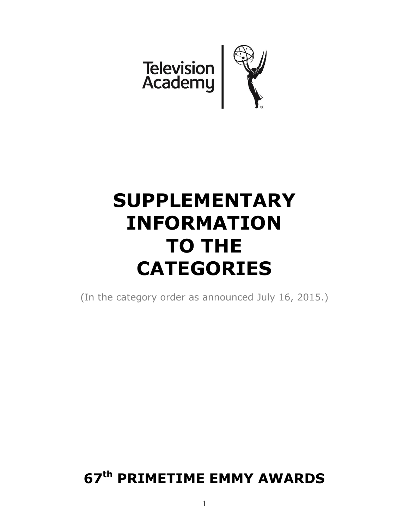

# **SUPPLEMENTARY INFORMATION TO THE CATEGORIES**

(In the category order as announced July 16, 2015.)

# **67th PRIMETIME EMMY AWARDS**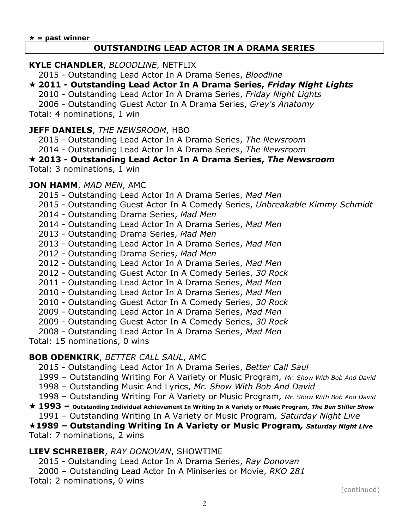#### **OUTSTANDING LEAD ACTOR IN A DRAMA SERIES**

#### **KYLE CHANDLER**, *BLOODLINE*, NETFLIX

2015 - Outstanding Lead Actor In A Drama Series, *Bloodline*

- **2011 - Outstanding Lead Actor In A Drama Series,** *Friday Night Lights*
	- 2010 Outstanding Lead Actor In A Drama Series, *Friday Night Lights*

2006 - Outstanding Guest Actor In A Drama Series, *Grey's Anatomy*

Total: 4 nominations, 1 win

#### **JEFF DANIELS**, *THE NEWSROOM*, HBO

2015 - Outstanding Lead Actor In A Drama Series, *The Newsroom*

2014 - Outstanding Lead Actor In A Drama Series, *The Newsroom*

# **2013 - Outstanding Lead Actor In A Drama Series,** *The Newsroom*

Total: 3 nominations, 1 win

#### **JON HAMM**, *MAD MEN*, AMC

2015 - Outstanding Lead Actor In A Drama Series, *Mad Men*

- 2015 Outstanding Guest Actor In A Comedy Series, *Unbreakable Kimmy Schmidt*
- 2014 Outstanding Drama Series, *Mad Men*
- 2014 Outstanding Lead Actor In A Drama Series, *Mad Men*
- 2013 Outstanding Drama Series, *Mad Men*
- 2013 Outstanding Lead Actor In A Drama Series, *Mad Men*
- 2012 Outstanding Drama Series, *Mad Men*
- 2012 Outstanding Lead Actor In A Drama Series, *Mad Men*
- 2012 Outstanding Guest Actor In A Comedy Series, *30 Rock*
- 2011 Outstanding Lead Actor In A Drama Series, *Mad Men*
- 2010 Outstanding Lead Actor In A Drama Series, *Mad Men*
- 2010 Outstanding Guest Actor In A Comedy Series, *30 Rock*
- 2009 Outstanding Lead Actor In A Drama Series, *Mad Men*
- 2009 Outstanding Guest Actor In A Comedy Series, *30 Rock*
- 2008 Outstanding Lead Actor In A Drama Series, *Mad Men*

Total: 15 nominations, 0 wins

## **BOB ODENKIRK**, *BETTER CALL SAUL*, AMC

- 2015 Outstanding Lead Actor In A Drama Series, *Better Call Saul*
- 1999 Outstanding Writing For A Variety or Music Program*, Mr. Show With Bob And David*
- 1998 Outstanding Music And Lyrics, *Mr. Show With Bob And David*
- 1998 Outstanding Writing For A Variety or Music Program*, Mr. Show With Bob And David*
- **1993 – Outstanding Individual Achievement In Writing In A Variety or Music Program***, The Ben Stiller Show* 1991 – Outstanding Writing In A Variety or Music Program*, Saturday Night Live*

#### **1989 – Outstanding Writing In A Variety or Music Program***, Saturday Night Live* Total: 7 nominations, 2 wins

## **LIEV SCHREIBER**, *RAY DONOVAN*, SHOWTIME

2015 - Outstanding Lead Actor In A Drama Series, *Ray Donovan*

2000 – Outstanding Lead Actor In A Miniseries or Movie, *RKO 281*

Total: 2 nominations, 0 wins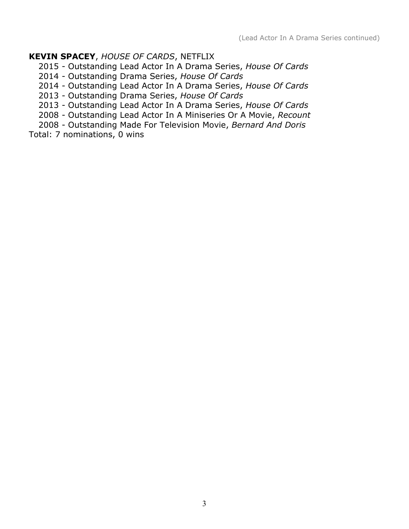# **KEVIN SPACEY**, *HOUSE OF CARDS*, NETFLIX

2015 - Outstanding Lead Actor In A Drama Series, *House Of Cards*

2014 - Outstanding Drama Series, *House Of Cards*

2014 - Outstanding Lead Actor In A Drama Series, *House Of Cards*

2013 - Outstanding Drama Series, *House Of Cards*

2013 - Outstanding Lead Actor In A Drama Series, *House Of Cards*

2008 - Outstanding Lead Actor In A Miniseries Or A Movie, *Recount*

2008 - Outstanding Made For Television Movie, *Bernard And Doris*

Total: 7 nominations, 0 wins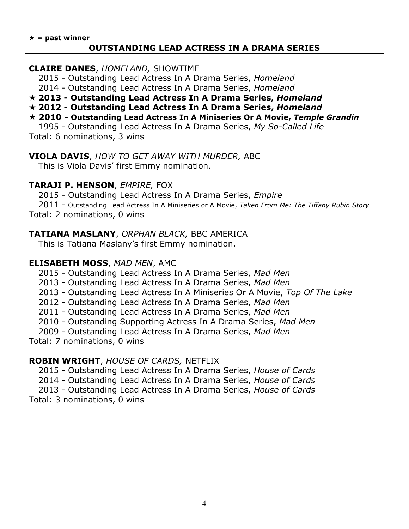#### **OUTSTANDING LEAD ACTRESS IN A DRAMA SERIES**

#### **CLAIRE DANES**, *HOMELAND,* SHOWTIME

2015 - Outstanding Lead Actress In A Drama Series, *Homeland*

2014 - Outstanding Lead Actress In A Drama Series, *Homeland*

**2013 - Outstanding Lead Actress In A Drama Series,** *Homeland*

**2012 - Outstanding Lead Actress In A Drama Series,** *Homeland*

# **2010 - Outstanding Lead Actress In A Miniseries Or A Movie,** *Temple Grandin*

1995 - Outstanding Lead Actress In A Drama Series, *My So-Called Life* Total: 6 nominations, 3 wins

**VIOLA DAVIS**, *HOW TO GET AWAY WITH MURDER,* ABC This is Viola Davis' first Emmy nomination.

# **TARAJI P. HENSON**, *EMPIRE,* FOX

2015 - Outstanding Lead Actress In A Drama Series, *Empire*

2011 - Outstanding Lead Actress In A Miniseries or A Movie, *Taken From Me: The Tiffany Rubin Story* Total: 2 nominations, 0 wins

# **TATIANA MASLANY**, *ORPHAN BLACK,* BBC AMERICA

This is Tatiana Maslany's first Emmy nomination.

# **ELISABETH MOSS**, *MAD MEN*, AMC

2015 - Outstanding Lead Actress In A Drama Series, *Mad Men*

- 2013 Outstanding Lead Actress In A Drama Series, *Mad Men*
- 2013 Outstanding Lead Actress In A Miniseries Or A Movie, *Top Of The Lake*
- 2012 Outstanding Lead Actress In A Drama Series, *Mad Men*
- 2011 Outstanding Lead Actress In A Drama Series, *Mad Men*
- 2010 Outstanding Supporting Actress In A Drama Series, *Mad Men*
- 2009 Outstanding Lead Actress In A Drama Series, *Mad Men*

## Total: 7 nominations, 0 wins

## **ROBIN WRIGHT**, *HOUSE OF CARDS,* NETFLIX

2015 - Outstanding Lead Actress In A Drama Series, *House of Cards* 2014 - Outstanding Lead Actress In A Drama Series, *House of Cards* 2013 - Outstanding Lead Actress In A Drama Series, *House of Cards* Total: 3 nominations, 0 wins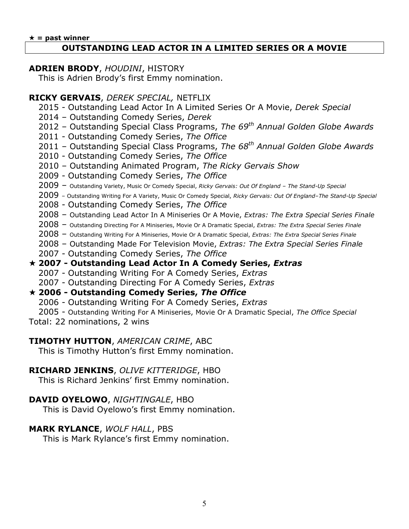#### $\star$  = past winner

## **OUTSTANDING LEAD ACTOR IN A LIMITED SERIES OR A MOVIE**

#### **ADRIEN BRODY**, *HOUDINI*, HISTORY

This is Adrien Brody's first Emmy nomination.

#### **RICKY GERVAIS**, *DEREK SPECIAL,* NETFLIX

- 2015 Outstanding Lead Actor In A Limited Series Or A Movie, *Derek Special*
- 2014 Outstanding Comedy Series, *Derek*
- 2012 Outstanding Special Class Programs, *The 69th Annual Golden Globe Awards*
- 2011 Outstanding Comedy Series, *The Office*
- 2011 Outstanding Special Class Programs, *The 68th Annual Golden Globe Awards*
- 2010 Outstanding Comedy Series, *The Office*
- 2010 Outstanding Animated Program, *The Ricky Gervais Show*
- 2009 Outstanding Comedy Series, *The Office*
- 2009 Outstanding Variety, Music Or Comedy Special, *Ricky Gervais: Out Of England – The Stand-Up Special*
- 2009 Outstanding Writing For A Variety, Music Or Comedy Special, *Ricky Gervais: Out Of England–The Stand-Up Special*
- 2008 Outstanding Comedy Series, *The Office*
- 2008 Outstanding Lead Actor In A Miniseries Or A Movie, *Extras: The Extra Special Series Finale*
- 2008 Outstanding Directing For A Miniseries, Movie Or A Dramatic Special, *Extras: The Extra Special Series Finale*
- 2008 Outstanding Writing For A Miniseries, Movie Or A Dramatic Special, *Extras: The Extra Special Series Finale*
- 2008 Outstanding Made For Television Movie, *Extras: The Extra Special Series Finale*
- 2007 Outstanding Comedy Series, *The Office*

# **2007 - Outstanding Lead Actor In A Comedy Series,** *Extras*

- 2007 Outstanding Writing For A Comedy Series, *Extras*
- 2007 Outstanding Directing For A Comedy Series, *Extras*

## **2006 - Outstanding Comedy Series,** *The Office*

- 2006 Outstanding Writing For A Comedy Series, *Extras*
- 2005 Outstanding Writing For A Miniseries, Movie Or A Dramatic Special, *The Office Special*
- Total: 22 nominations, 2 wins

## **TIMOTHY HUTTON**, *AMERICAN CRIME*, ABC

This is Timothy Hutton's first Emmy nomination.

## **RICHARD JENKINS**, *OLIVE KITTERIDGE*, HBO

This is Richard Jenkins' first Emmy nomination.

# **DAVID OYELOWO**, *NIGHTINGALE*, HBO

This is David Oyelowo's first Emmy nomination.

# **MARK RYLANCE**, *WOLF HALL*, PBS

This is Mark Rylance's first Emmy nomination.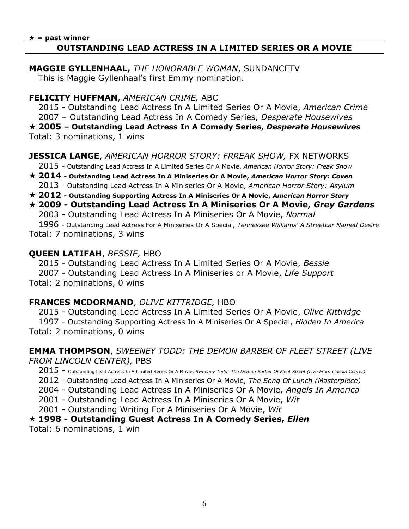#### $\star$  = past winner **OUTSTANDING LEAD ACTRESS IN A LIMITED SERIES OR A MOVIE**

#### **MAGGIE GYLLENHAAL,** *THE HONORABLE WOMAN*, SUNDANCETV This is Maggie Gyllenhaal's first Emmy nomination.

# **FELICITY HUFFMAN**, *AMERICAN CRIME,* ABC

2015 - Outstanding Lead Actress In A Limited Series Or A Movie, *American Crime* 2007 – Outstanding Lead Actress In A Comedy Series, *Desperate Housewives* **2005 – Outstanding Lead Actress In A Comedy Series,** *Desperate Housewives* Total: 3 nominations, 1 wins

# **JESSICA LANGE**, *AMERICAN HORROR STORY: FRREAK SHOW,* FX NETWORKS

2015 - Outstanding Lead Actress In A Limited Series Or A Movie, *American Horror Story: Freak Show*

- **2014 - Outstanding Lead Actress In A Miniseries Or A Movie,** *American Horror Story: Coven* 2013 - Outstanding Lead Actress In A Miniseries Or A Movie, *American Horror Story: Asylum*
- **2012 - Outstanding Supporting Actress In A Miniseries Or A Movie,** *American Horror Story*

# **2009 - Outstanding Lead Actress In A Miniseries Or A Movie,** *Grey Gardens*

2003 - Outstanding Lead Actress In A Miniseries Or A Movie, *Normal*

1996 - Outstanding Lead Actress For A Miniseries Or A Special, *Tennessee Williams' A Streetcar Named Desire* Total: 7 nominations, 3 wins

# **QUEEN LATIFAH**, *BESSIE,* HBO

2015 - Outstanding Lead Actress In A Limited Series Or A Movie, *Bessie* 2007 - Outstanding Lead Actress In A Miniseries or A Movie, *Life Support* Total: 2 nominations, 0 wins

# **FRANCES MCDORMAND**, *OLIVE KITTRIDGE,* HBO

2015 - Outstanding Lead Actress In A Limited Series Or A Movie, *Olive Kittridge* 1997 - Outstanding Supporting Actress In A Miniseries Or A Special, *Hidden In America* Total: 2 nominations, 0 wins

# **EMMA THOMPSON**, *SWEENEY TODD: THE DEMON BARBER OF FLEET STREET (LIVE FROM LINCOLN CENTER),* PBS

2015 - Outstanding Lead Actress In A Limited Series Or A Movie, *Sweeney Todd: The Demon Barber Of Fleet Street (Live From Lincoln Center)*

2012 - Outstanding Lead Actress In A Miniseries Or A Movie, *The Song Of Lunch (Masterpiece)*

2004 - Outstanding Lead Actress In A Miniseries Or A Movie, *Angels In America*

2001 - Outstanding Lead Actress In A Miniseries Or A Movie, *Wit*

2001 - Outstanding Writing For A Miniseries Or A Movie, *Wit*

## **1998 - Outstanding Guest Actress In A Comedy Series,** *Ellen*

Total: 6 nominations, 1 win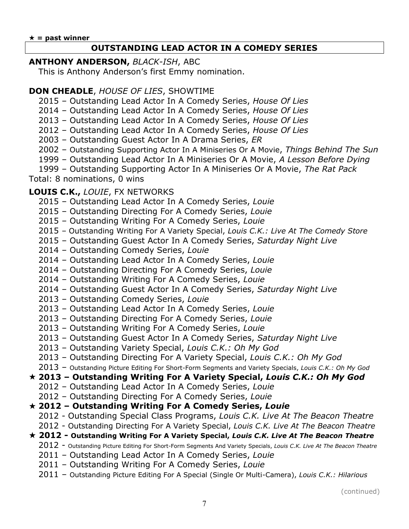# **OUTSTANDING LEAD ACTOR IN A COMEDY SERIES**

## **ANTHONY ANDERSON,** *BLACK-ISH*, ABC

This is Anthony Anderson's first Emmy nomination.

# **DON CHEADLE**, *HOUSE OF LIES*, SHOWTIME

– Outstanding Lead Actor In A Comedy Series, *House Of Lies*

– Outstanding Lead Actor In A Comedy Series, *House Of Lies*

– Outstanding Lead Actor In A Comedy Series, *House Of Lies*

– Outstanding Lead Actor In A Comedy Series, *House Of Lies*

– Outstanding Guest Actor In A Drama Series, *ER*

– Outstanding Supporting Actor In A Miniseries Or A Movie, *Things Behind The Sun*

– Outstanding Lead Actor In A Miniseries Or A Movie, *A Lesson Before Dying*

– Outstanding Supporting Actor In A Miniseries Or A Movie, *The Rat Pack* Total: 8 nominations, 0 wins

# **LOUIS C.K.,** *LOUIE*, FX NETWORKS

- Outstanding Lead Actor In A Comedy Series, *Louie*
- Outstanding Directing For A Comedy Series, *Louie*
- Outstanding Writing For A Comedy Series, *Louie*
- Outstanding Writing For A Variety Special, *Louis C.K.: Live At The Comedy Store*
- Outstanding Guest Actor In A Comedy Series, *Saturday Night Live*
- Outstanding Comedy Series, *Louie*
- Outstanding Lead Actor In A Comedy Series, *Louie*
- Outstanding Directing For A Comedy Series, *Louie*
- Outstanding Writing For A Comedy Series, *Louie*
- Outstanding Guest Actor In A Comedy Series, *Saturday Night Live*
- Outstanding Comedy Series, *Louie*
- Outstanding Lead Actor In A Comedy Series, *Louie*
- Outstanding Directing For A Comedy Series, *Louie*
- Outstanding Writing For A Comedy Series, *Louie*
- Outstanding Guest Actor In A Comedy Series, *Saturday Night Live*
- Outstanding Variety Special, *Louis C.K.: Oh My God*
- Outstanding Directing For A Variety Special, *Louis C.K.: Oh My God*
- Outstanding Picture Editing For Short-Form Segments and Variety Specials, *Louis C.K.: Oh My God*

# **2013 – Outstanding Writing For A Variety Special,** *Louis C.K.: Oh My God*

- Outstanding Lead Actor In A Comedy Series, *Louie*
- Outstanding Directing For A Comedy Series, *Louie*

# **2012 – Outstanding Writing For A Comedy Series,** *Louie*

- 2012 Outstanding Special Class Programs, *Louis C.K. Live At The Beacon Theatre*
- 2012 Outstanding Directing For A Variety Special, *Louis C.K. Live At The Beacon Theatre*

# **2012 - Outstanding Writing For A Variety Special,** *Louis C.K. Live At The Beacon Theatre*

- 2012 Outstanding Picture Editing For Short-Form Segments And Variety Specials, *Louis C.K. Live At The Beacon Theatre*
- Outstanding Lead Actor In A Comedy Series, *Louie*
- Outstanding Writing For A Comedy Series, *Louie*
- Outstanding Picture Editing For A Special (Single Or Multi-Camera), *Louis C.K.: Hilarious*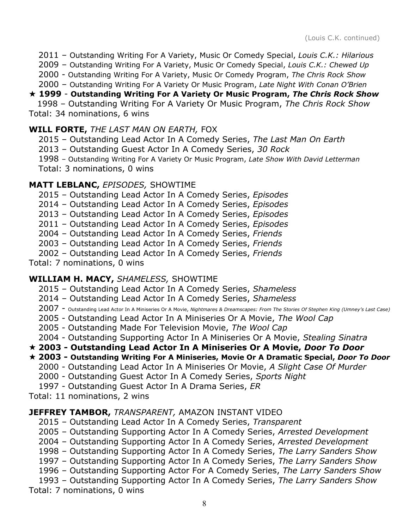2011 – Outstanding Writing For A Variety, Music Or Comedy Special, *Louis C.K.: Hilarious*

2009 – Outstanding Writing For A Variety, Music Or Comedy Special, *Louis C.K.: Chewed Up*

2000 - Outstanding Writing For A Variety, Music Or Comedy Program, *The Chris Rock Show*

2000 – Outstanding Writing For A Variety Or Music Program, *Late Night With Conan O'Brien*

# **1999** - **Outstanding Writing For A Variety Or Music Program,** *The Chris Rock Show*

 1998 – Outstanding Writing For A Variety Or Music Program, *The Chris Rock Show* Total: 34 nominations, 6 wins

## **WILL FORTE,** *THE LAST MAN ON EARTH,* FOX

2015 – Outstanding Lead Actor In A Comedy Series, *The Last Man On Earth*

2013 – Outstanding Guest Actor In A Comedy Series, *30 Rock*

1998 – Outstanding Writing For A Variety Or Music Program, *Late Show With David Letterman*

Total: 3 nominations, 0 wins

# **MATT LEBLANC,** *EPISODES,* SHOWTIME

2015 – Outstanding Lead Actor In A Comedy Series, *Episodes*

2014 – Outstanding Lead Actor In A Comedy Series, *Episodes*

2013 – Outstanding Lead Actor In A Comedy Series, *Episodes*

2011 – Outstanding Lead Actor In A Comedy Series, *Episodes*

2004 – Outstanding Lead Actor In A Comedy Series, *Friends*

2003 – Outstanding Lead Actor In A Comedy Series, *Friends*

2002 – Outstanding Lead Actor In A Comedy Series, *Friends*

Total: 7 nominations, 0 wins

# **WILLIAM H. MACY,** *SHAMELESS,* SHOWTIME

2015 – Outstanding Lead Actor In A Comedy Series, *Shameless*

- 2014 Outstanding Lead Actor In A Comedy Series, *Shameless*
- 2007 Outstanding Lead Actor In A Miniseries Or A Movie, *Nightmares & Dreamscapes: From The Stories Of Stephen King (Umney's Last Case)*
- 2005 Outstanding Lead Actor In A Miniseries Or A Movie, *The Wool Cap*
- 2005 Outstanding Made For Television Movie, *The Wool Cap*

2004 - Outstanding Supporting Actor In A Miniseries Or A Movie, *Stealing Sinatra*

**2003 - Outstanding Lead Actor In A Miniseries Or A Movie,** *Door To Door*

# **2003 - Outstanding Writing For A Miniseries, Movie Or A Dramatic Special,** *Door To Door*

- 2000 Outstanding Lead Actor In A Miniseries Or Movie, *A Slight Case Of Murder*
- 2000 Outstanding Guest Actor In A Comedy Series, *Sports Night*

1997 - Outstanding Guest Actor In A Drama Series, *ER*

Total: 11 nominations, 2 wins

# **JEFFREY TAMBOR,** *TRANSPARENT,* AMAZON INSTANT VIDEO

2015 – Outstanding Lead Actor In A Comedy Series, *Transparent*

2005 – Outstanding Supporting Actor In A Comedy Series, *Arrested Development*

2004 – Outstanding Supporting Actor In A Comedy Series, *Arrested Development*

1998 – Outstanding Supporting Actor In A Comedy Series, *The Larry Sanders Show*

1997 – Outstanding Supporting Actor In A Comedy Series, *The Larry Sanders Show*

1996 – Outstanding Supporting Actor For A Comedy Series, *The Larry Sanders Show*

1993 – Outstanding Supporting Actor In A Comedy Series, *The Larry Sanders Show* Total: 7 nominations, 0 wins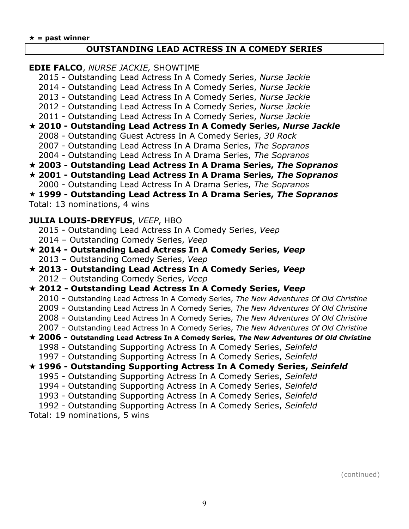#### **OUTSTANDING LEAD ACTRESS IN A COMEDY SERIES**

**EDIE FALCO**, *NURSE JACKIE,* SHOWTIME

- 2015 Outstanding Lead Actress In A Comedy Series, *Nurse Jackie*
- 2014 Outstanding Lead Actress In A Comedy Series, *Nurse Jackie*
- 2013 Outstanding Lead Actress In A Comedy Series, *Nurse Jackie*
- 2012 Outstanding Lead Actress In A Comedy Series, *Nurse Jackie*
- 2011 Outstanding Lead Actress In A Comedy Series, *Nurse Jackie*

## **2010 - Outstanding Lead Actress In A Comedy Series,** *Nurse Jackie*

- 2008 Outstanding Guest Actress In A Comedy Series, *30 Rock*
- 2007 Outstanding Lead Actress In A Drama Series, *The Sopranos*
- 2004 Outstanding Lead Actress In A Drama Series, *The Sopranos*
- **2003 - Outstanding Lead Actress In A Drama Series,** *The Sopranos*
- **2001 - Outstanding Lead Actress In A Drama Series,** *The Sopranos* 2000 - Outstanding Lead Actress In A Drama Series, *The Sopranos*

**1999 - Outstanding Lead Actress In A Drama Series,** *The Sopranos*

Total: 13 nominations, 4 wins

**JULIA LOUIS-DREYFUS**, *VEEP*, HBO

- 2015 Outstanding Lead Actress In A Comedy Series, *Veep*
- 2014 Outstanding Comedy Series, *Veep*
- **2014 - Outstanding Lead Actress In A Comedy Series,** *Veep* 2013 – Outstanding Comedy Series, *Veep*
- **2013 - Outstanding Lead Actress In A Comedy Series,** *Veep* 2012 – Outstanding Comedy Series, *Veep*
- **2012 - Outstanding Lead Actress In A Comedy Series,** *Veep*
	- 2010 Outstanding Lead Actress In A Comedy Series, *The New Adventures Of Old Christine*
	- 2009 Outstanding Lead Actress In A Comedy Series, *The New Adventures Of Old Christine*
	- 2008 Outstanding Lead Actress In A Comedy Series, *The New Adventures Of Old Christine*
	- 2007 Outstanding Lead Actress In A Comedy Series, *The New Adventures Of Old Christine*
- **2006 - Outstanding Lead Actress In A Comedy Series,** *The New Adventures Of Old Christine* 1998 - Outstanding Supporting Actress In A Comedy Series, *Seinfeld* 1997 - Outstanding Supporting Actress In A Comedy Series, *Seinfeld*

# **1996 - Outstanding Supporting Actress In A Comedy Series,** *Seinfeld*

- 1995 Outstanding Supporting Actress In A Comedy Series, *Seinfeld*
- 1994 Outstanding Supporting Actress In A Comedy Series, *Seinfeld*
- 1993 Outstanding Supporting Actress In A Comedy Series, *Seinfeld*
- 1992 Outstanding Supporting Actress In A Comedy Series, *Seinfeld*

Total: 19 nominations, 5 wins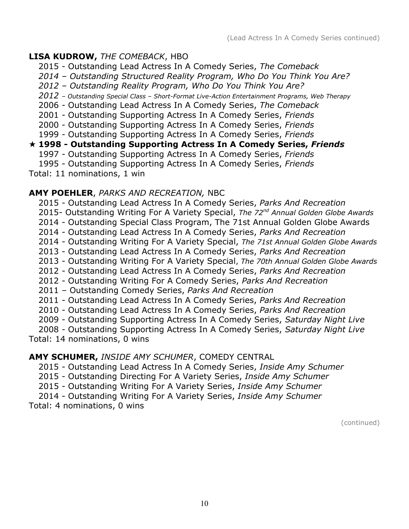# **LISA KUDROW,** *THE COMEBACK*, HBO

2015 - Outstanding Lead Actress In A Comedy Series, *The Comeback*

*2014 – Outstanding Structured Reality Program, Who Do You Think You Are?*

*2012 – Outstanding Reality Program, Who Do You Think You Are?*

*2012 – Outstanding Special Class – Short-Format Live-Action Entertainment Programs, Web Therapy*

2006 - Outstanding Lead Actress In A Comedy Series, *The Comeback*

2001 - Outstanding Supporting Actress In A Comedy Series, *Friends*

2000 - Outstanding Supporting Actress In A Comedy Series, *Friends*

1999 - Outstanding Supporting Actress In A Comedy Series, *Friends*

# **1998 - Outstanding Supporting Actress In A Comedy Series,** *Friends*

1997 - Outstanding Supporting Actress In A Comedy Series, *Friends*

1995 - Outstanding Supporting Actress In A Comedy Series, *Friends*

Total: 11 nominations, 1 win

# **AMY POEHLER**, *PARKS AND RECREATION,* NBC

2015 - Outstanding Lead Actress In A Comedy Series, *Parks And Recreation* 2015- Outstanding Writing For A Variety Special, *The 72nd Annual Golden Globe Awards* 2014 - Outstanding Special Class Program, The 71st Annual Golden Globe Awards 2014 - Outstanding Lead Actress In A Comedy Series, *Parks And Recreation* 2014 - Outstanding Writing For A Variety Special, *The 71st Annual Golden Globe Awards* 2013 - Outstanding Lead Actress In A Comedy Series, *Parks And Recreation* 2013 - Outstanding Writing For A Variety Special, *The 70th Annual Golden Globe Awards* 2012 - Outstanding Lead Actress In A Comedy Series, *Parks And Recreation* 2012 - Outstanding Writing For A Comedy Series, *Parks And Recreation* 2011 – Outstanding Comedy Series, *Parks And Recreation* 2011 - Outstanding Lead Actress In A Comedy Series, *Parks And Recreation* 2010 - Outstanding Lead Actress In A Comedy Series, *Parks And Recreation* 2009 - Outstanding Supporting Actress In A Comedy Series, *Saturday Night Live* 2008 - Outstanding Supporting Actress In A Comedy Series, *Saturday Night Live* Total: 14 nominations, 0 wins

# **AMY SCHUMER,** *INSIDE AMY SCHUMER*, COMEDY CENTRAL

2015 - Outstanding Lead Actress In A Comedy Series, *Inside Amy Schumer*

2015 - Outstanding Directing For A Variety Series, *Inside Amy Schumer*

2015 - Outstanding Writing For A Variety Series, *Inside Amy Schumer*

2014 - Outstanding Writing For A Variety Series, *Inside Amy Schumer*

Total: 4 nominations, 0 wins

(continued)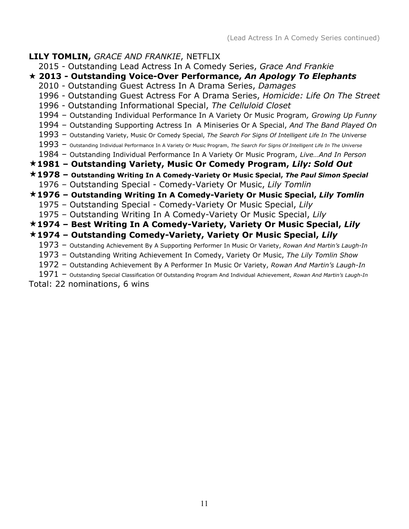# **LILY TOMLIN,** *GRACE AND FRANKIE*, NETFLIX

- 2015 Outstanding Lead Actress In A Comedy Series, *Grace And Frankie*
- **2013 - Outstanding Voice-Over Performance,** *An Apology To Elephants*
	- 2010 Outstanding Guest Actress In A Drama Series, *Damages*
	- 1996 Outstanding Guest Actress For A Drama Series, *Homicide: Life On The Street*
	- 1996 Outstanding Informational Special, *The Celluloid Closet*
	- Outstanding Individual Performance In A Variety Or Music Program*, Growing Up Funny*
	- Outstanding Supporting Actress In A Miniseries Or A Special, *And The Band Played On*
	- Outstanding Variety, Music Or Comedy Special, *The Search For Signs Of Intelligent Life In The Universe*
	- Outstanding Individual Performance In A Variety Or Music Program, *The Search For Signs Of Intelligent Life In The Universe*
	- Outstanding Individual Performance In A Variety Or Music Program, *Live…And In Person*

# **– Outstanding Variety, Music Or Comedy Program,** *Lily: Sold Out*

- **– Outstanding Writing In A Comedy-Variety Or Music Special,** *The Paul Simon Special*
	- Outstanding Special Comedy-Variety Or Music, *Lily Tomlin*

# **– Outstanding Writing In A Comedy-Variety Or Music Special,** *Lily Tomlin*

- Outstanding Special Comedy-Variety Or Music Special, *Lily*
- Outstanding Writing In A Comedy-Variety Or Music Special, *Lily*

# **– Best Writing In A Comedy-Variety, Variety Or Music Special,** *Lily*

# **– Outstanding Comedy-Variety, Variety Or Music Special,** *Lily*

- Outstanding Achievement By A Supporting Performer In Music Or Variety, *Rowan And Martin's Laugh-In*
- Outstanding Writing Achievement In Comedy, Variety Or Music, *The Lily Tomlin Show*
- Outstanding Achievement By A Performer In Music Or Variety, *Rowan And Martin's Laugh-In*
- Outstanding Special Classification Of Outstanding Program And Individual Achievement, *Rowan And Martin's Laugh-In*

Total: 22 nominations, 6 wins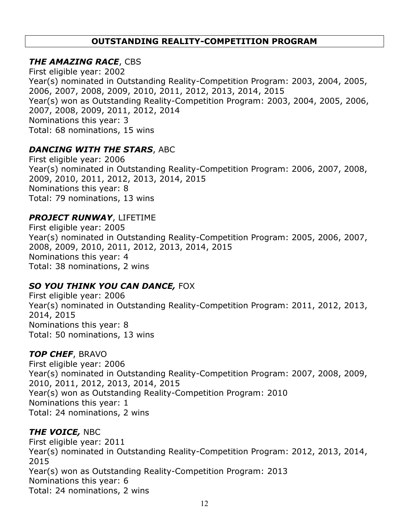# **OUTSTANDING REALITY-COMPETITION PROGRAM**

# *THE AMAZING RACE*, CBS

First eligible year: 2002 Year(s) nominated in Outstanding Reality-Competition Program: 2003, 2004, 2005, 2006, 2007, 2008, 2009, 2010, 2011, 2012, 2013, 2014, 2015 Year(s) won as Outstanding Reality-Competition Program: 2003, 2004, 2005, 2006, 2007, 2008, 2009, 2011, 2012, 2014 Nominations this year: 3 Total: 68 nominations, 15 wins

# *DANCING WITH THE STARS*, ABC

First eligible year: 2006 Year(s) nominated in Outstanding Reality-Competition Program: 2006, 2007, 2008, 2009, 2010, 2011, 2012, 2013, 2014, 2015 Nominations this year: 8 Total: 79 nominations, 13 wins

# *PROJECT RUNWAY*, LIFETIME

First eligible year: 2005 Year(s) nominated in Outstanding Reality-Competition Program: 2005, 2006, 2007, 2008, 2009, 2010, 2011, 2012, 2013, 2014, 2015 Nominations this year: 4 Total: 38 nominations, 2 wins

# *SO YOU THINK YOU CAN DANCE,* FOX

First eligible year: 2006 Year(s) nominated in Outstanding Reality-Competition Program: 2011, 2012, 2013, 2014, 2015 Nominations this year: 8 Total: 50 nominations, 13 wins

## *TOP CHEF*, BRAVO

First eligible year: 2006 Year(s) nominated in Outstanding Reality-Competition Program: 2007, 2008, 2009, 2010, 2011, 2012, 2013, 2014, 2015 Year(s) won as Outstanding Reality-Competition Program: 2010 Nominations this year: 1 Total: 24 nominations, 2 wins

## *THE VOICE,* NBC

First eligible year: 2011 Year(s) nominated in Outstanding Reality-Competition Program: 2012, 2013, 2014, 2015 Year(s) won as Outstanding Reality-Competition Program: 2013 Nominations this year: 6 Total: 24 nominations, 2 wins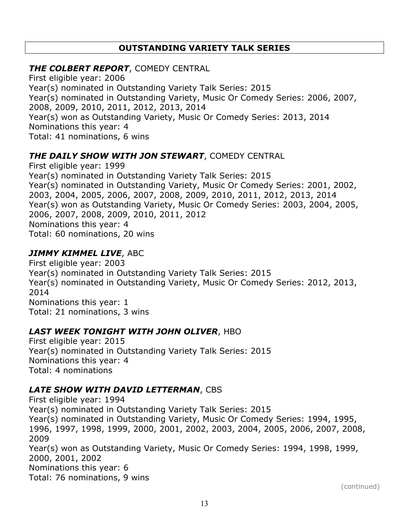# **OUTSTANDING VARIETY TALK SERIES**

# *THE COLBERT REPORT*, COMEDY CENTRAL

First eligible year: 2006 Year(s) nominated in Outstanding Variety Talk Series: 2015 Year(s) nominated in Outstanding Variety, Music Or Comedy Series: 2006, 2007, 2008, 2009, 2010, 2011, 2012, 2013, 2014 Year(s) won as Outstanding Variety, Music Or Comedy Series: 2013, 2014 Nominations this year: 4 Total: 41 nominations, 6 wins

# *THE DAILY SHOW WITH JON STEWART*, COMEDY CENTRAL

First eligible year: 1999 Year(s) nominated in Outstanding Variety Talk Series: 2015 Year(s) nominated in Outstanding Variety, Music Or Comedy Series: 2001, 2002, 2003, 2004, 2005, 2006, 2007, 2008, 2009, 2010, 2011, 2012, 2013, 2014 Year(s) won as Outstanding Variety, Music Or Comedy Series: 2003, 2004, 2005, 2006, 2007, 2008, 2009, 2010, 2011, 2012 Nominations this year: 4 Total: 60 nominations, 20 wins

## *JIMMY KIMMEL LIVE*, ABC

First eligible year: 2003 Year(s) nominated in Outstanding Variety Talk Series: 2015 Year(s) nominated in Outstanding Variety, Music Or Comedy Series: 2012, 2013, 2014 Nominations this year: 1 Total: 21 nominations, 3 wins

## *LAST WEEK TONIGHT WITH JOHN OLIVER*, HBO

First eligible year: 2015 Year(s) nominated in Outstanding Variety Talk Series: 2015 Nominations this year: 4 Total: 4 nominations

# *LATE SHOW WITH DAVID LETTERMAN*, CBS

First eligible year: 1994 Year(s) nominated in Outstanding Variety Talk Series: 2015 Year(s) nominated in Outstanding Variety, Music Or Comedy Series: 1994, 1995, 1996, 1997, 1998, 1999, 2000, 2001, 2002, 2003, 2004, 2005, 2006, 2007, 2008, 2009 Year(s) won as Outstanding Variety, Music Or Comedy Series: 1994, 1998, 1999, 2000, 2001, 2002 Nominations this year: 6 Total: 76 nominations, 9 wins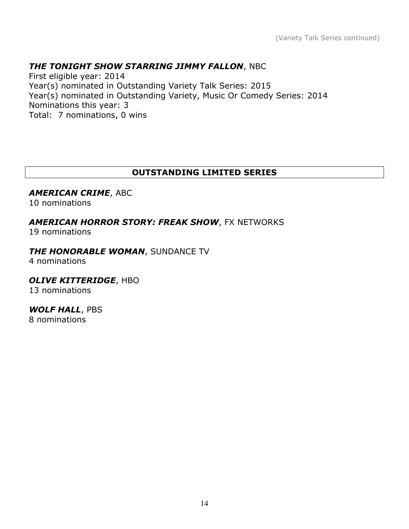# *THE TONIGHT SHOW STARRING JIMMY FALLON*, NBC

First eligible year: 2014 Year(s) nominated in Outstanding Variety Talk Series: 2015 Year(s) nominated in Outstanding Variety, Music Or Comedy Series: 2014 Nominations this year: 3 Total: 7 nominations, 0 wins

# **OUTSTANDING LIMITED SERIES**

#### *AMERICAN CRIME*, ABC

10 nominations

## *AMERICAN HORROR STORY: FREAK SHOW*, FX NETWORKS

19 nominations

#### *THE HONORABLE WOMAN*, SUNDANCE TV

4 nominations

#### *OLIVE KITTERIDGE*, HBO

13 nominations

# *WOLF HALL*, PBS

8 nominations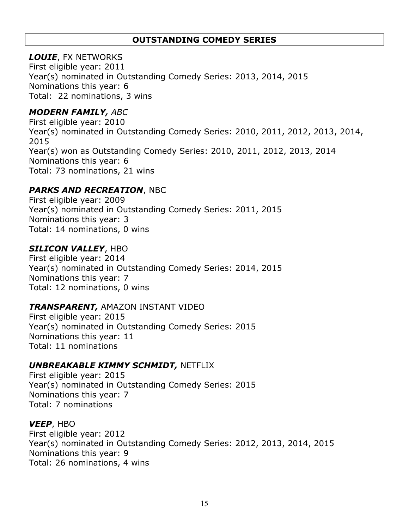# **OUTSTANDING COMEDY SERIES**

## *LOUIE*, FX NETWORKS

First eligible year: 2011 Year(s) nominated in Outstanding Comedy Series: 2013, 2014, 2015 Nominations this year: 6 Total: 22 nominations, 3 wins

# *MODERN FAMILY, ABC*

First eligible year: 2010 Year(s) nominated in Outstanding Comedy Series: 2010, 2011, 2012, 2013, 2014, 2015 Year(s) won as Outstanding Comedy Series: 2010, 2011, 2012, 2013, 2014 Nominations this year: 6 Total: 73 nominations, 21 wins

# *PARKS AND RECREATION*, NBC

First eligible year: 2009 Year(s) nominated in Outstanding Comedy Series: 2011, 2015 Nominations this year: 3 Total: 14 nominations, 0 wins

# *SILICON VALLEY*, HBO

First eligible year: 2014 Year(s) nominated in Outstanding Comedy Series: 2014, 2015 Nominations this year: 7 Total: 12 nominations, 0 wins

# *TRANSPARENT,* AMAZON INSTANT VIDEO

First eligible year: 2015 Year(s) nominated in Outstanding Comedy Series: 2015 Nominations this year: 11 Total: 11 nominations

# *UNBREAKABLE KIMMY SCHMIDT,* NETFLIX

First eligible year: 2015 Year(s) nominated in Outstanding Comedy Series: 2015 Nominations this year: 7 Total: 7 nominations

## *VEEP*, HBO

First eligible year: 2012 Year(s) nominated in Outstanding Comedy Series: 2012, 2013, 2014, 2015 Nominations this year: 9 Total: 26 nominations, 4 wins